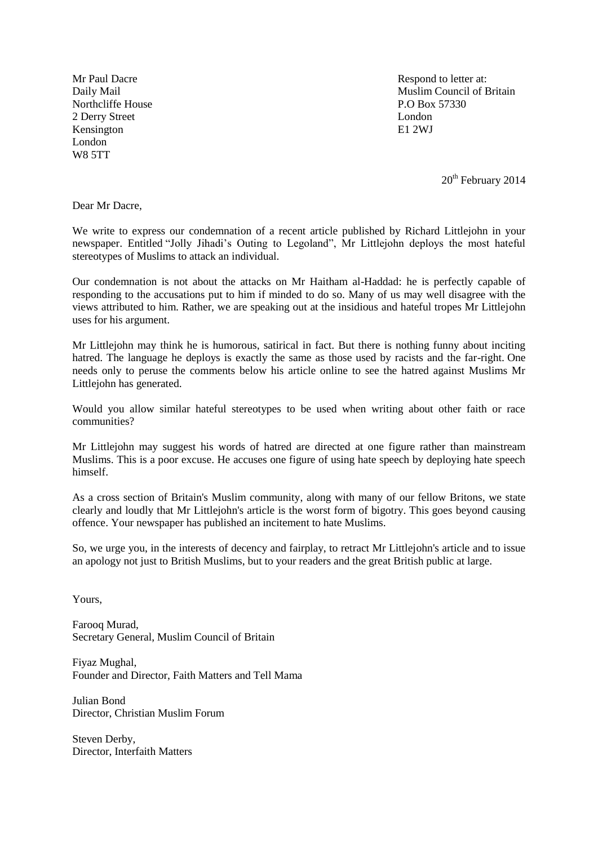Northcliffe House P.O Box 57330 2 Derry Street London Kensington E1 2WJ London W8 5TT

Mr Paul Dacre Respond to letter at: Daily Mail **Muslim Council of Britain** 

 $20<sup>th</sup>$  February 2014

Dear Mr Dacre,

We write to express our condemnation of a recent article published by Richard Littlejohn in your newspaper. Entitled "Jolly Jihadi's Outing to Legoland", Mr Littlejohn deploys the most hateful stereotypes of Muslims to attack an individual.

Our condemnation is not about the attacks on Mr Haitham al-Haddad: he is perfectly capable of responding to the accusations put to him if minded to do so. Many of us may well disagree with the views attributed to him. Rather, we are speaking out at the insidious and hateful tropes Mr Littlejohn uses for his argument.

Mr Littlejohn may think he is humorous, satirical in fact. But there is nothing funny about inciting hatred. The language he deploys is exactly the same as those used by racists and the far-right. One needs only to peruse the comments below his article online to see the hatred against Muslims Mr Littlejohn has generated.

Would you allow similar hateful stereotypes to be used when writing about other faith or race communities?

Mr Littlejohn may suggest his words of hatred are directed at one figure rather than mainstream Muslims. This is a poor excuse. He accuses one figure of using hate speech by deploying hate speech himself.

As a cross section of Britain's Muslim community, along with many of our fellow Britons, we state clearly and loudly that Mr Littlejohn's article is the worst form of bigotry. This goes beyond causing offence. Your newspaper has published an incitement to hate Muslims.

So, we urge you, in the interests of decency and fairplay, to retract Mr Littlejohn's article and to issue an apology not just to British Muslims, but to your readers and the great British public at large.

Yours,

Farooq Murad, Secretary General, Muslim Council of Britain

Fiyaz Mughal, Founder and Director, Faith Matters and Tell Mama

Julian Bond Director, Christian Muslim Forum

Steven Derby, Director, Interfaith Matters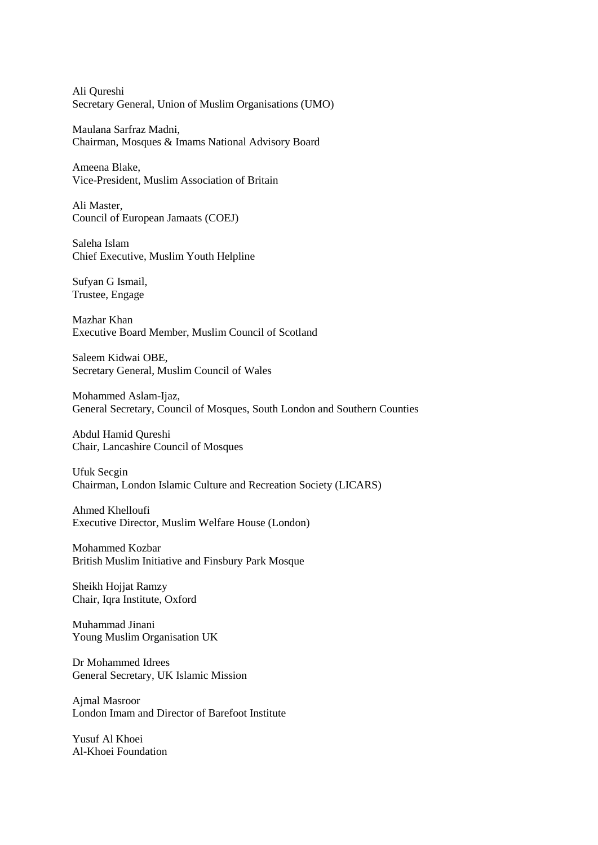Ali Qureshi Secretary General, Union of Muslim Organisations (UMO)

Maulana Sarfraz Madni, Chairman, Mosques & Imams National Advisory Board

Ameena Blake, Vice-President, Muslim Association of Britain

Ali Master, Council of European Jamaats (COEJ)

Saleha Islam Chief Executive, Muslim Youth Helpline

Sufyan G Ismail, Trustee, Engage

Mazhar Khan Executive Board Member, Muslim Council of Scotland

Saleem Kidwai OBE, Secretary General, Muslim Council of Wales

Mohammed Aslam-Ijaz, General Secretary, Council of Mosques, South London and Southern Counties

Abdul Hamid Qureshi Chair, Lancashire Council of Mosques

Ufuk Secgin Chairman, London Islamic Culture and Recreation Society (LICARS)

Ahmed Khelloufi Executive Director, Muslim Welfare House (London)

Mohammed Kozbar British Muslim Initiative and Finsbury Park Mosque

Sheikh Hojjat Ramzy Chair, Iqra Institute, Oxford

Muhammad Jinani Young Muslim Organisation UK

Dr Mohammed Idrees General Secretary, UK Islamic Mission

Ajmal Masroor London Imam and Director of Barefoot Institute

Yusuf Al Khoei Al-Khoei Foundation